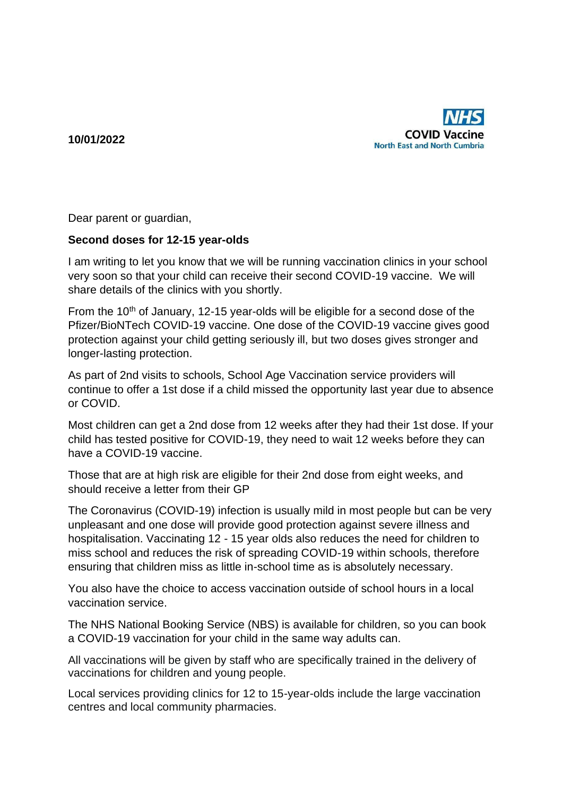**10/01/2022**



Dear parent or guardian,

## **Second doses for 12-15 year-olds**

I am writing to let you know that we will be running vaccination clinics in your school very soon so that your child can receive their second COVID-19 vaccine. We will share details of the clinics with you shortly.

From the 10<sup>th</sup> of January, 12-15 year-olds will be eligible for a second dose of the Pfizer/BioNTech COVID-19 vaccine. One dose of the COVID-19 vaccine gives good protection against your child getting seriously ill, but two doses gives stronger and longer-lasting protection.

As part of 2nd visits to schools, School Age Vaccination service providers will continue to offer a 1st dose if a child missed the opportunity last year due to absence or COVID.

Most children can get a 2nd dose from 12 weeks after they had their 1st dose. If your child has tested positive for COVID-19, they need to wait 12 weeks before they can have a COVID-19 vaccine.

Those that are at high risk are eligible for their 2nd dose from eight weeks, and should receive a letter from their GP

The Coronavirus (COVID-19) infection is usually mild in most people but can be very unpleasant and one dose will provide good protection against severe illness and hospitalisation. Vaccinating 12 - 15 year olds also reduces the need for children to miss school and reduces the risk of spreading COVID-19 within schools, therefore ensuring that children miss as little in-school time as is absolutely necessary.

You also have the choice to access vaccination outside of school hours in a local vaccination service.

The NHS National Booking Service (NBS) is available for children, so you can book a COVID-19 vaccination for your child in the same way adults can.

All vaccinations will be given by staff who are specifically trained in the delivery of vaccinations for children and young people.

Local services providing clinics for 12 to 15-year-olds include the large vaccination centres and local community pharmacies.